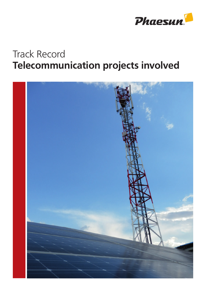

## Track Record Telecommunication projects involved